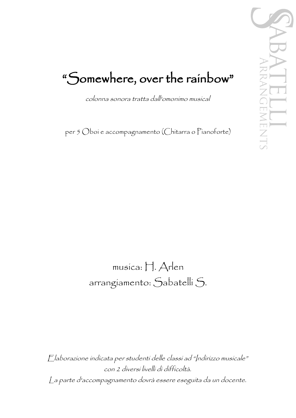## "Somewhere, over the rainbow"

colonna sonora tratta dall'omonimo musical

per 5 Oboi e accompagnamento (Chitarra o Pianoforte)

## musica: H. Arlen arrangiamento: Sabatelli S.

Elaborazione indicata per studenti delle classi ad "Indirizzo musicale" con 2 diversi livelli di difficoltà. La parte d'accompagnamento dovrà essere eseguita da un docente.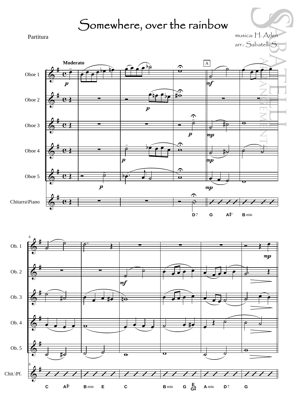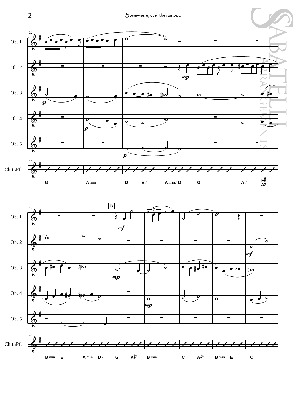



 $\overline{2}$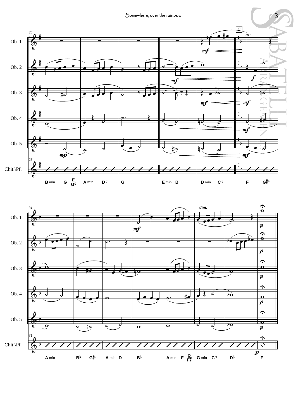

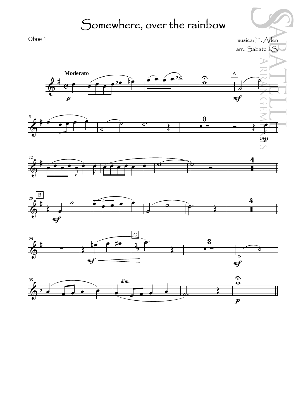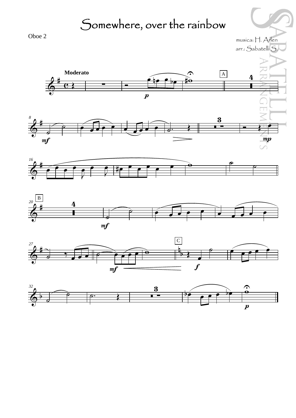







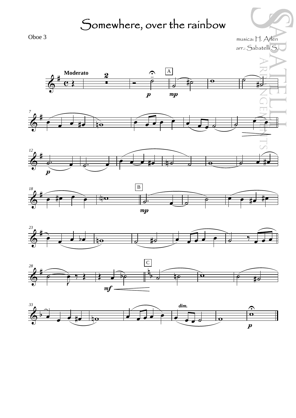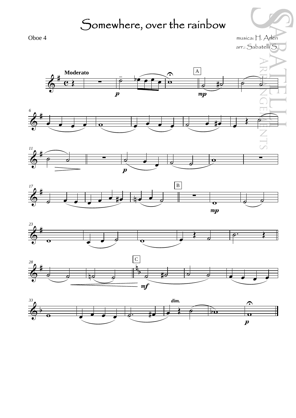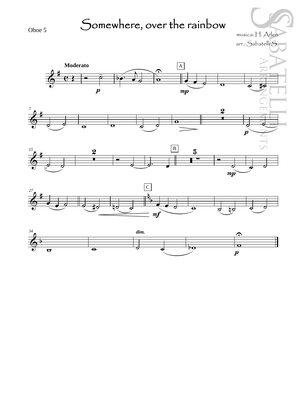## Somewhere, over the rainbow musica: H. Arlen

Oboe 5



arr.: Sabatelli S.